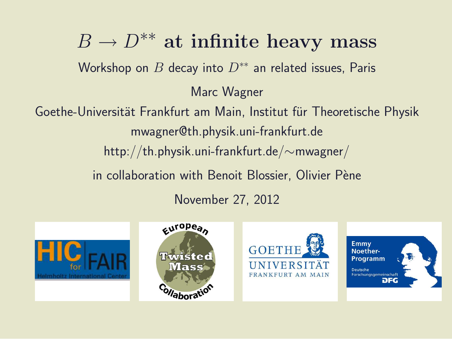$B \to D^{**}$  at infinite heavy mass Workshop on  $B$  decay into  $D^{**}$  an related issues, Paris Marc Wagner Goethe-Universität Frankfurt am Main, Institut für Theoretische Physik mwagner@th.physik.uni-frankfurt.de http://th.physik.uni-frankfurt.de/∼mwagner/

in collaboration with Benoit Blossier, Olivier Pène

November 27, 2012

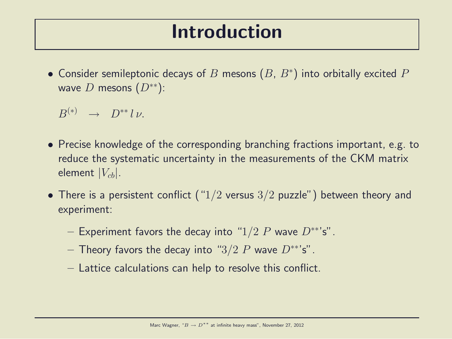#### Introduction

 $\bullet$  Consider semileptonic decays of  $B$  mesons  $(B,\,B^*)$  into orbitally excited  $P$ wave D mesons  $(D^{**})$ :

 $B^{(*)} \rightarrow D^{**} l \nu.$ 

- Precise knowledge of the corresponding branching fractions important, e.g. to reduce the systematic uncertainty in the measurements of the CKM matrix element  $|V_{cb}|$ .
- There is a persistent conflict (" $1/2$  versus  $3/2$  puzzle") between theory and experiment:
	- Experiment favors the decay into "1/2 P wave  $D^{**}$ 's".
	- Theory favors the decay into " $3/2$  P wave  $D^{**}$ 's".
	- Lattice calculations can help to resolve this conflict.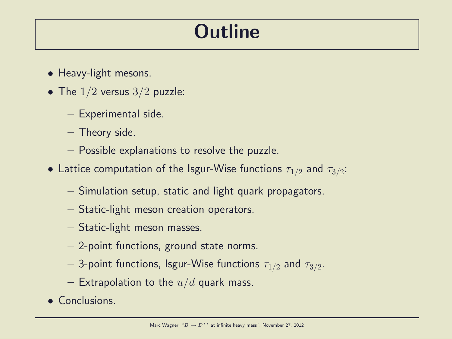# **Outline**

- Heavy-light mesons.
- The  $1/2$  versus  $3/2$  puzzle:
	- Experimental side.
	- Theory side.
	- Possible explanations to resolve the puzzle.
- $\bullet$  Lattice computation of the Isgur-Wise functions  $\tau_{1/2}$  and  $\tau_{3/2}$ :
	- Simulation setup, static and light quark propagators.
	- Static-light meson creation operators.
	- Static-light meson masses.
	- 2-point functions, ground state norms.
	- $-$  3-point functions, Isgur-Wise functions  $\tau_{1/2}$  and  $\tau_{3/2}.$
	- Extrapolation to the  $u/d$  quark mass.
- Conclusions.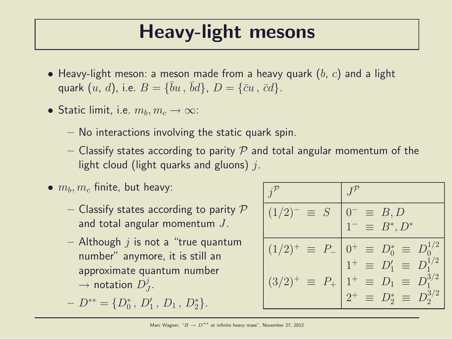## Heavy-light mesons

- Heavy-light meson: a meson made from a heavy quark  $(b, c)$  and a light quark  $(u, d)$ , i.e.  $B = \{\bar{b}u, \bar{b}d\}$ ,  $D = \{\bar{c}u, \bar{c}d\}$ .
- Static limit, i.e.  $m_b, m_c \rightarrow \infty$ :
	- No interactions involving the static quark spin.
	- Classify states according to parity  $P$  and total angular momentum of the light cloud (light quarks and gluons)  $j$ .
- $\bullet$   $m_b, m_c$  finite, but heavy:
	- Classify states according to parity  $P$ and total angular momentum J.
	- $-$  Although  $i$  is not a "true quantum number" anymore, it is still an approximate quantum number  $\rightarrow$  notation  $D_j^j$  $\frac{j}{J}$ .

$$
- D^{**} = \{D_0^*, D_1', D_1, D_2^*\}.
$$

| $(1/2)^{-}$<br>$\equiv$ S       | $0^- \equiv B, D$<br>$1^- \equiv B^*, D^*$                                |
|---------------------------------|---------------------------------------------------------------------------|
| $(1/2)^{+}$<br>$\equiv P_{-}$   | $0^+ \equiv D_0^* \equiv D_0^{1/2}$<br>$1^+ \equiv D_1' \equiv D_1^{1/2}$ |
| $(3/2)^{+}$<br>$\equiv$ $P_{+}$ | $1^+ \equiv D_1 \equiv D_1^{3/2}$                                         |
|                                 | $2^+ \equiv D_2^* \equiv D_2^{3/2}$                                       |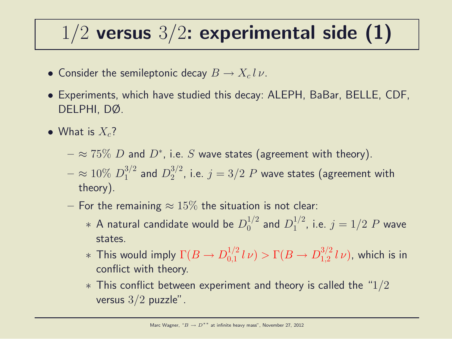# $1/2$  versus  $3/2$ : experimental side (1)

- Consider the semileptonic decay  $B \to X_c l \, \nu$ .
- Experiments, which have studied this decay: ALEPH, BaBar, BELLE, CDF, DELPHI, DØ.
- What is  $X_c$ ?
	- $\approx$   $75\%$   $D$  and  $D^*$ , i.e.  $S$  wave states (agreement with theory).
	- $\approx 10\% \ D_1^{3/2}$  $_1^{3/2}$  and  $D_2^{3/2}$  $2^{3/2}$ , i.e.  $j = 3/2$   $P$  wave states (agreement with theory).
	- For the remaining  $\approx 15\%$  the situation is not clear:
		- $\;\ast$  A natural candidate would be  $D_0^{1/2}$  $_0^{1/2}$  and  $D_1^{1/2}$  $j^{1/2}$ , i.e.  $j = 1/2$   $P$  wave states.
		- $*$  This would imply  $\Gamma(B \to D^{1/2}_{0,1})$  $\int_{0,1}^{1/2} l \nu$   $> \Gamma(B \to D_{1,2}^{3/2})$  $_{1,2}^{3/2}$   $l\nu$ ), which is in conflict with theory.
		- $*$  This conflict between experiment and theory is called the "1/2 versus  $3/2$  puzzle".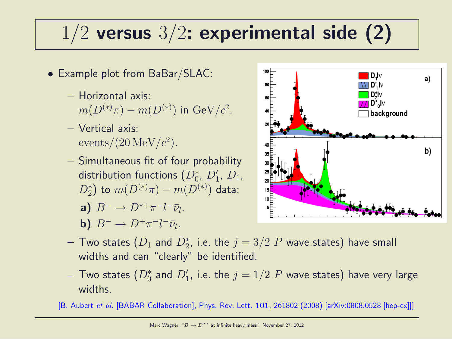# $1/2$  versus  $3/2$ : experimental side (2)

- Example plot from BaBar/SLAC:
	- Horizontal axis:  $m(D^{(*)}\pi) - m(D^{(*)})$  in  ${\rm GeV}/c^2$ .
	- Vertical axis:  $\frac{\text{events}}{20 \,\text{MeV}}/c^2$ .
	- Simultaneous fit of four probability distribution functions  $(D_0^*,\ D_1',\ D_1,$  $(D_2^*)$  to  $m(D^{(*)}\pi) - m(D^{(*)})$  data:

a) 
$$
B^- \to D^{*+}\pi^-l^-\bar{\nu}_l.
$$

**b)**  $B^- \to D^+ \pi^- l^- \bar{\nu}_l$ .



- $-$  Two states  $(D_1$  and  $D_2^\ast$ , i.e. the  $j=3/2$   $P$  wave states) have small widths and can "clearly" be identified.
- $-$  Two states  $(D_0^{\ast}% )^{\ast}$  and  $D_1^{\prime}$  , i.e. the  $j=1/2$   $P$  wave states) have very large widths.

[B. Aubert et al. [BABAR Collaboration], Phys. Rev. Lett. 101, 261802 (2008) [arXiv:0808.0528 [hep-ex]]]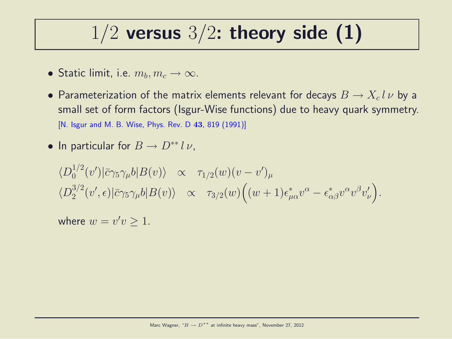## $1/2$  versus  $3/2$ : theory side (1)

- Static limit, i.e.  $m_b, m_c \rightarrow \infty$ .
- Parameterization of the matrix elements relevant for decays  $B \to X_c l \, \nu$  by a small set of form factors (Isgur-Wise functions) due to heavy quark symmetry. [N. Isgur and M. B. Wise, Phys. Rev. D 43, 819 (1991)]
- In particular for  $B \to D^{**} l \nu$ ,

$$
\langle D_0^{1/2}(v')|\bar{c}\gamma_5\gamma_\mu b|B(v)\rangle \propto \tau_{1/2}(w)(v-v')_\mu
$$
  

$$
\langle D_2^{3/2}(v',\epsilon)|\bar{c}\gamma_5\gamma_\mu b|B(v)\rangle \propto \tau_{3/2}(w)\Big((w+1)\epsilon^*_{\mu\alpha}v^\alpha-\epsilon^*_{\alpha\beta}v^\alpha v^\beta v'_\nu\Big).
$$

where  $w = v'v \geq 1$ .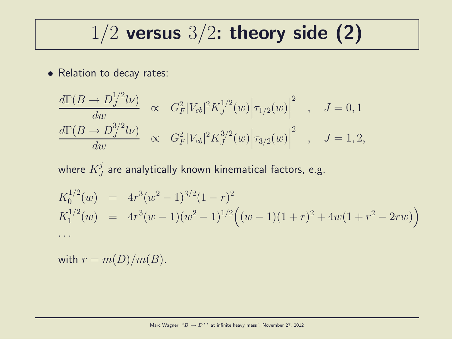## $1/2$  versus  $3/2$ : theory side (2)

• Relation to decay rates:

$$
\frac{d\Gamma(B \to D_J^{1/2} l\nu)}{dw} \propto G_F^2 |V_{cb}|^2 K_J^{1/2}(w) |\tau_{1/2}(w)|^2 , \quad J = 0, 1
$$
  

$$
\frac{d\Gamma(B \to D_J^{3/2} l\nu)}{dw} \propto G_F^2 |V_{cb}|^2 K_J^{3/2}(w) |\tau_{3/2}(w)|^2 , \quad J = 1, 2,
$$

where  $K^j_J$  $_J^{\mathcal{J}}$  are analytically known kinematical factors, e.g.

$$
K_0^{1/2}(w) = 4r^3(w^2 - 1)^{3/2}(1 - r)^2
$$
  
\n
$$
K_1^{1/2}(w) = 4r^3(w - 1)(w^2 - 1)^{1/2}((w - 1)(1 + r)^2 + 4w(1 + r^2 - 2rw))
$$
  
\n...

with  $r = m(D)/m(B)$ .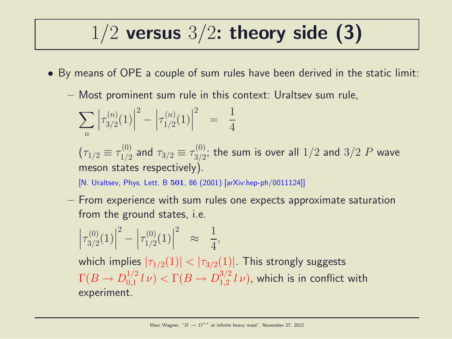# $1/2$  versus  $3/2$ : theory side (3)

- By means of OPE a couple of sum rules have been derived in the static limit:
	- Most prominent sum rule in this context: Uraltsev sum rule,

$$
\sum_{n} \left| \tau_{3/2}^{(n)}(1) \right|^2 - \left| \tau_{1/2}^{(n)}(1) \right|^2 = \frac{1}{4}
$$

 $(\tau_{1/2} \equiv \tau_{1/2}^{(0)}$  $\frac{1}{1/2}$  and  $\tau_{3/2} \equiv \tau_{3/2}^{(0)}$  $\frac{100}{3/2};$  the sum is over all  $1/2$  and  $3/2$   $P$  wave meson states respectively).

[N. Uraltsev, Phys. Lett. B 501, 86 (2001) [arXiv:hep-ph/0011124]]

– From experience with sum rules one expects approximate saturation from the ground states, i.e.

$$
\left|\tau_{3/2}^{(0)}(1)\right|^2 - \left|\tau_{1/2}^{(0)}(1)\right|^2 \approx \frac{1}{4},
$$

which implies  $|\tau_{1/2}(1)| < |\tau_{3/2}(1)|$ . This strongly suggests  $\Gamma(B \to D^{1/2}_{0,1}$  $\int_{0,1}^{1/2} l \nu$   $> \Gamma(B \to D_{1,2}^{3/2})$  $_{1,2}^{3/2}$   $l$   $\nu$ ), which is in conflict with experiment.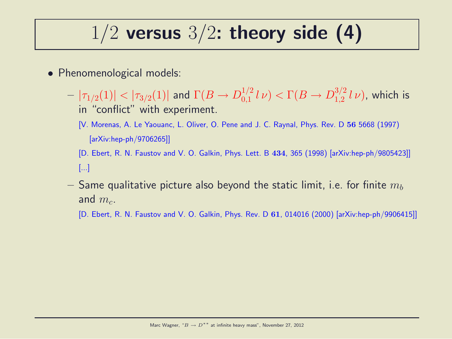## $1/2$  versus  $3/2$ : theory side (4)

- Phenomenological models:
	- $|\tau_{1/2}(1)|<|\tau_{3/2}(1)|$  and  $\Gamma(B\to D_{0,1}^{1/2})$  $\int_{0,1}^{1/2} l \nu$   $> \Gamma(B \to D_{1,2}^{3/2})$  $_{1,2}^{^{3/2}}$   $l\nu)$ , which is in "conflict" with experiment.
		- [V. Morenas, A. Le Yaouanc, L. Oliver, O. Pene and J. C. Raynal, Phys. Rev. D 56 5668 (1997) [arXiv:hep-ph/9706265]]
		- [D. Ebert, R. N. Faustov and V. O. Galkin, Phys. Lett. B 434, 365 (1998) [arXiv:hep-ph/9805423]] [...]
	- $-$  Same qualitative picture also beyond the static limit, i.e. for finite  $m_b$ and  $m_c$ .
		- [D. Ebert, R. N. Faustov and V. O. Galkin, Phys. Rev. D 61, 014016 (2000) [arXiv:hep-ph/9906415]]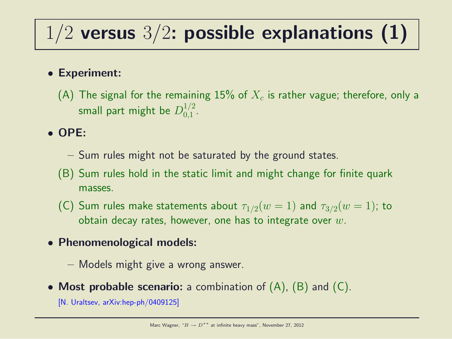# $1/2$  versus  $3/2$ : possible explanations (1)

#### • Experiment:

(A) The signal for the remaining  $15\%$  of  $X_c$  is rather vague; therefore, only a small part might be  $D_{0.1}^{1/2}$  $\frac{1}{2}$ .

#### • OPE:

- Sum rules might not be saturated by the ground states.
- (B) Sum rules hold in the static limit and might change for finite quark masses.
- (C) Sum rules make statements about  $\tau_{1/2}(w=1)$  and  $\tau_{3/2}(w=1)$ ; to obtain decay rates, however, one has to integrate over  $w$ .
- Phenomenological models:
	- Models might give a wrong answer.
- Most probable scenario: a combination of  $(A)$ ,  $(B)$  and  $(C)$ .

[N. Uraltsev, arXiv:hep-ph/0409125]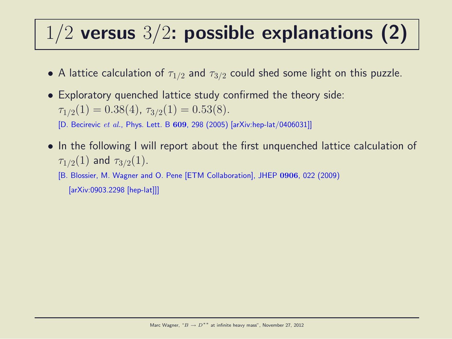# $1/2$  versus  $3/2$ : possible explanations (2)

- A lattice calculation of  $\tau_{1/2}$  and  $\tau_{3/2}$  could shed some light on this puzzle.
- Exploratory quenched lattice study confirmed the theory side:  $\tau_{1/2}(1) = 0.38(4), \tau_{3/2}(1) = 0.53(8).$

[D. Becirevic et al., Phys. Lett. B 609, 298 (2005) [arXiv:hep-lat/0406031]]

• In the following I will report about the first unquenched lattice calculation of  $\tau_{1/2}(1)$  and  $\tau_{3/2}(1)$ .

[B. Blossier, M. Wagner and O. Pene [ETM Collaboration], JHEP 0906, 022 (2009) [arXiv:0903.2298 [hep-lat]]]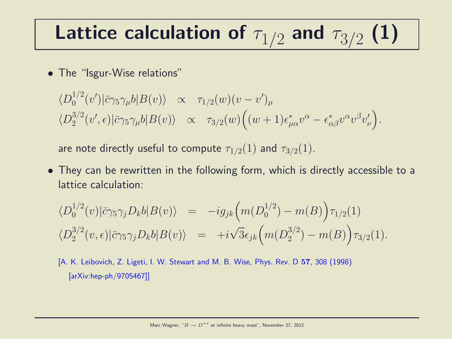# Lattice calculation of  $\tau_{1/2}$  and  $\tau_{3/2}$  (1)

• The "Isgur-Wise relations"

$$
\langle D_0^{1/2}(v')|\bar{c}\gamma_5\gamma_\mu b|B(v)\rangle \propto \tau_{1/2}(w)(v-v')_\mu
$$
  

$$
\langle D_2^{3/2}(v',\epsilon)|\bar{c}\gamma_5\gamma_\mu b|B(v)\rangle \propto \tau_{3/2}(w)\Big((w+1)\epsilon^*_{\mu\alpha}v^\alpha-\epsilon^*_{\alpha\beta}v^\alpha v^\beta v'_\nu\Big).
$$

are note directly useful to compute  $\tau_{1/2}(1)$  and  $\tau_{3/2}(1)$ .

• They can be rewritten in the following form, which is directly accessible to a lattice calculation:

$$
\langle D_0^{1/2}(v)|\bar{c}\gamma_5\gamma_j D_k b|B(v)\rangle = -ig_{jk}\Big(m(D_0^{1/2}) - m(B)\Big)\tau_{1/2}(1)
$$
  

$$
\langle D_2^{3/2}(v,\epsilon)|\bar{c}\gamma_5\gamma_j D_k b|B(v)\rangle = +i\sqrt{3}\epsilon_{jk}\Big(m(D_2^{3/2}) - m(B)\Big)\tau_{3/2}(1).
$$

[A. K. Leibovich, Z. Ligeti, I. W. Stewart and M. B. Wise, Phys. Rev. D 57, 308 (1998) [arXiv:hep-ph/9705467]]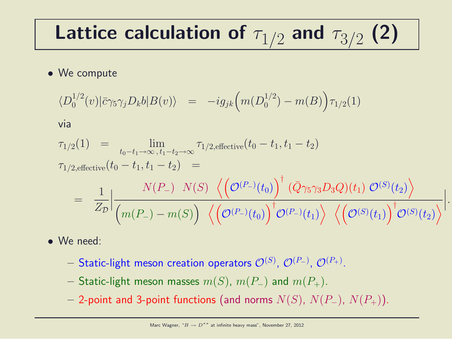# Lattice calculation of  $\tau_{1/2}$  and  $\tau_{3/2}$  (2)

#### • We compute

$$
\langle D_0^{1/2}(v) | \bar{c} \gamma_5 \gamma_j D_k b | B(v) \rangle = -ig_{jk} \Big( m(D_0^{1/2}) - m(B) \Big) \tau_{1/2}(1)
$$

via

$$
\tau_{1/2}(1) = \lim_{t_0 - t_1 \to \infty, t_1 - t_2 \to \infty} \tau_{1/2, \text{effective}}(t_0 - t_1, t_1 - t_2)
$$
\n
$$
\tau_{1/2, \text{effective}}(t_0 - t_1, t_1 - t_2) = \frac{N(P_-) N(S) \left\langle \left(\mathcal{O}^{(P_-)}(t_0)\right)^{\dagger} (\bar{Q} \gamma_5 \gamma_3 D_3 Q)(t_1) \mathcal{O}^{(S)}(t_2) \right\rangle}{Z_{\mathcal{D}}}\Big|_{\mathcal{D}} + \frac{N(P_-) N(S) \left\langle \left(\mathcal{O}^{(P_-)}(t_0)\right)^{\dagger} (\bar{Q} \gamma_5 \gamma_3 D_3 Q)(t_1) \mathcal{O}^{(S)}(t_2) \right\rangle}{\left\langle \left(\mathcal{O}^{(S)}(t_1)\right)^{\dagger} \mathcal{O}^{(S)}(t_2) \right\rangle} \Big|.
$$

- We need:
	- $-$  Static-light meson creation operators  $\mathcal{O}^{(S)}$ ,  $\mathcal{O}^{(P_{-})}$ ,  $\mathcal{O}^{(P_{+})}$ .
	- Static-light meson masses  $m(S)$ ,  $m(P_{-})$  and  $m(P_{+})$ .
	- 2-point and 3-point functions (and norms  $N(S)$ ,  $N(P_+)$ ,  $N(P_+)$ ).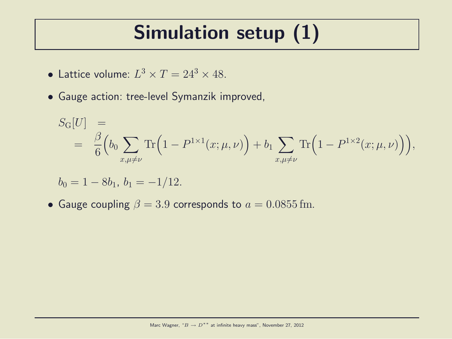# Simulation setup (1)

- Lattice volume:  $L^3 \times T = 24^3 \times 48$ .
- Gauge action: tree-level Symanzik improved,

$$
S_{\mathcal{G}}[U] = \frac{\beta}{6} \Big( b_0 \sum_{x,\mu \neq \nu} \text{Tr} \Big( 1 - P^{1 \times 1}(x; \mu, \nu) \Big) + b_1 \sum_{x,\mu \neq \nu} \text{Tr} \Big( 1 - P^{1 \times 2}(x; \mu, \nu) \Big) \Big),
$$

$$
b_0 = 1 - 8b_1, \, b_1 = -1/12.
$$

• Gauge coupling  $\beta = 3.9$  corresponds to  $a = 0.0855$  fm.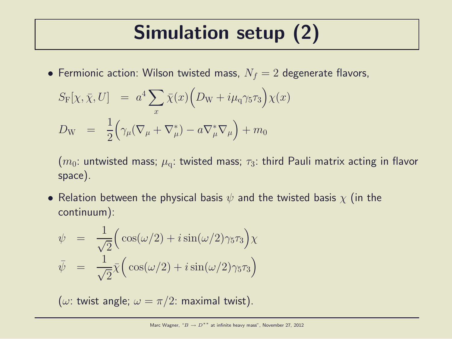# Simulation setup (2)

• Fermionic action: Wilson twisted mass,  $N_f = 2$  degenerate flavors,

$$
S_{\mathcal{F}}[\chi, \bar{\chi}, U] = a^4 \sum_{x} \bar{\chi}(x) \Big( D_{\mathcal{W}} + i \mu_{\mathcal{q}} \gamma_5 \tau_3 \Big) \chi(x)
$$
  

$$
D_{\mathcal{W}} = \frac{1}{2} \Big( \gamma_{\mu} (\nabla_{\mu} + \nabla_{\mu}^*) - a \nabla_{\mu}^* \nabla_{\mu} \Big) + m_0
$$

 $(m_0:$  untwisted mass;  $\mu_a:$  twisted mass;  $\tau_3:$  third Pauli matrix acting in flavor space).

• Relation between the physical basis  $\psi$  and the twisted basis  $\chi$  (in the continuum):

$$
\psi = \frac{1}{\sqrt{2}} \Big( \cos(\omega/2) + i \sin(\omega/2) \gamma_5 \tau_3 \Big) \chi
$$
  

$$
\bar{\psi} = \frac{1}{\sqrt{2}} \bar{\chi} \Big( \cos(\omega/2) + i \sin(\omega/2) \gamma_5 \tau_3 \Big)
$$

( $\omega$ : twist angle;  $\omega = \pi/2$ : maximal twist).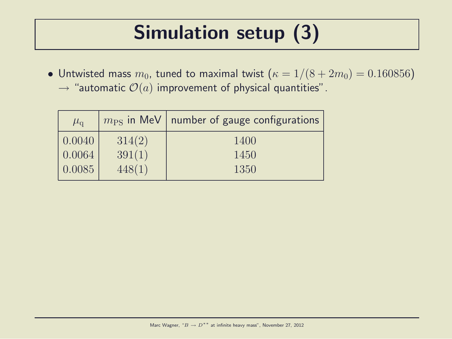# Simulation setup (3)

• Untwisted mass  $m_0$ , tuned to maximal twist  $(\kappa = 1/(8 + 2m_0) = 0.160856)$  $\rightarrow$  "automatic  $\mathcal{O}(a)$  improvement of physical quantities".

| $\mu_{\rm q}$ | $m_{\rm PS}$ in MeV | number of gauge configurations |
|---------------|---------------------|--------------------------------|
| 0.0040        | 314(2)              | 1400                           |
| 0.0064        | 391(1)              | 1450                           |
| 0.0085        | 448(1)              | 1350                           |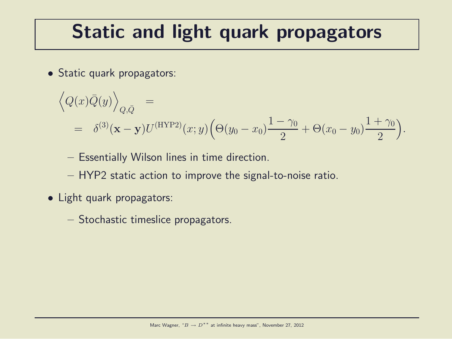# Static and light quark propagators

• Static quark propagators:

$$
\left\langle Q(x)\bar{Q}(y)\right\rangle_{Q,\bar{Q}} =
$$
  
=  $\delta^{(3)}(\mathbf{x}-\mathbf{y})U^{(\text{HYP2})}(x;y)\left(\Theta(y_0-x_0)\frac{1-\gamma_0}{2}+\Theta(x_0-y_0)\frac{1+\gamma_0}{2}\right).$ 

- Essentially Wilson lines in time direction.
- HYP2 static action to improve the signal-to-noise ratio.
- Light quark propagators:
	- Stochastic timeslice propagators.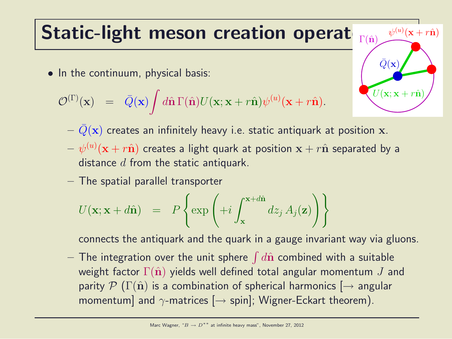## Static-light meson creation operat

• In the continuum, physical basis:

$$
\mathcal{O}^{(\Gamma)}(\mathbf{x}) = \bar{Q}(\mathbf{x}) \int d\hat{\mathbf{n}} \Gamma(\hat{\mathbf{n}}) U(\mathbf{x}; \mathbf{x} + r\hat{\mathbf{n}}) \psi^{(u)}(\mathbf{x} + r\hat{\mathbf{n}}).
$$



- $-\bar{Q}(\mathbf{x})$  creates an infinitely heavy i.e. static antiquark at position x.
- $-\;\psi^{(u)}({\bf x}+r\hat{{\bf n}})$  creates a light quark at position  ${\bf x}+r\hat{{\bf n}}$  separated by a distance  $d$  from the static antiquark.
- The spatial parallel transporter

$$
U(\mathbf{x}; \mathbf{x} + d\hat{\mathbf{n}}) = P\left\{\exp\left(+i\int_{\mathbf{x}}^{\mathbf{x} + d\hat{\mathbf{n}}} dz_j A_j(\mathbf{z})\right)\right\}
$$

connects the antiquark and the quark in a gauge invariant way via gluons.

 $-$  The integration over the unit sphere  $\int d\hat{\mathbf{n}}$  combined with a suitable weight factor  $\Gamma(\hat{\mathbf{n}})$  yields well defined total angular momentum J and parity  $\mathcal{P}(\Gamma(\hat{\mathbf{n}}))$  is a combination of spherical harmonics  $\rightarrow$  angular momentum] and  $\gamma$ -matrices  $[\rightarrow$  spin]; Wigner-Eckart theorem).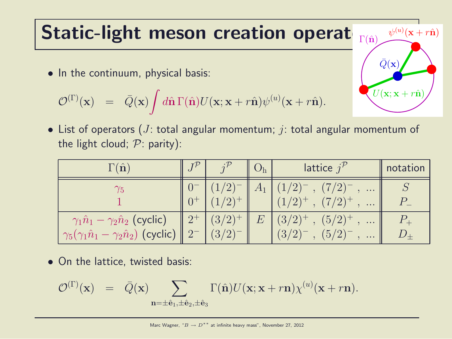#### Static-light meson creation operat  $\Gamma(\hat{\mathbf{n}})$

• In the continuum, physical basis:

$$
\mathcal{O}^{(\Gamma)}(\mathbf{x}) = \bar{Q}(\mathbf{x}) \int d\hat{\mathbf{n}} \Gamma(\hat{\mathbf{n}}) U(\mathbf{x}; \mathbf{x} + r\hat{\mathbf{n}}) \psi^{(u)}(\mathbf{x} + r\hat{\mathbf{n}}).
$$

• List of operators (*J*: total angular momentum; *j*: total angular momentum of the light cloud;  $P:$  parity):

 $U(\mathbf{x}; \mathbf{x} + r\hat{\mathbf{n}})$ 

 $\psi^{(u)}({\bf x}+r\hat{{\bf n}})$ 

 $\bar{Q}(\mathbf{x})$ 

| $\Gamma(\hat{\mathbf{n}})$                                                                                   |                           |         | lattice $j^{\prime}$                                                       | notation |
|--------------------------------------------------------------------------------------------------------------|---------------------------|---------|----------------------------------------------------------------------------|----------|
|                                                                                                              | $\sqrt{2}$<br>$(1/2)^{+}$ | $A_{1}$ | $(7/2)^{-}$<br>$\cdots$<br>$(7/2)^{+}$<br>$\cdots$                         |          |
| $\gamma_1\hat{n}_1 - \gamma_2\hat{n}_2$ (cyclic)<br>$\gamma_5(\gamma_1\hat{n}_1-\gamma_2\hat{n}_2)$ (cyclic) | $(3/2)^{+}$<br>(3/2)      | E       | $(5/2)^{+}$<br>$(3/2)^{+}$<br>$\cdots$<br>$(5/2)^{7}$<br>(3/2)<br>$\cdots$ |          |

• On the lattice, twisted basis:

$$
\mathcal{O}^{(\Gamma)}(\mathbf{x}) = \bar{Q}(\mathbf{x}) \sum_{\mathbf{n}=\pm \hat{\mathbf{e}}_1, \pm \hat{\mathbf{e}}_2, \pm \hat{\mathbf{e}}_3} \Gamma(\hat{\mathbf{n}}) U(\mathbf{x}; \mathbf{x} + r\mathbf{n}) \chi^{(u)}(\mathbf{x} + r\mathbf{n}).
$$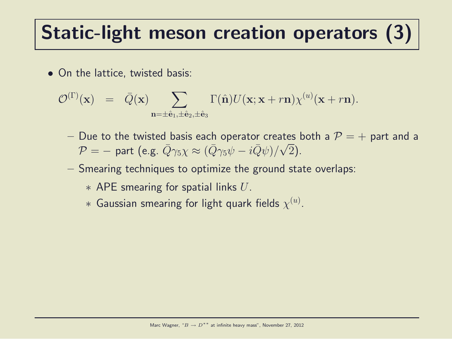# Static-light meson creation operators (3)

• On the lattice, twisted basis:

$$
\mathcal{O}^{(\Gamma)}(\mathbf{x}) = \bar{Q}(\mathbf{x}) \sum_{\mathbf{n}=\pm \hat{\mathbf{e}}_1, \pm \hat{\mathbf{e}}_2, \pm \hat{\mathbf{e}}_3} \Gamma(\hat{\mathbf{n}}) U(\mathbf{x}; \mathbf{x} + r\mathbf{n}) \chi^{(u)}(\mathbf{x} + r\mathbf{n}).
$$

- Due to the twisted basis each operator creates both a  $P = +$  part and a  $\mathcal{P} = -$  part (e.g.  $\bar{Q}\gamma_5 \chi \approx (\bar{Q}\gamma_5 \psi - i \bar{Q}\psi)/\sqrt{2}$ ).
- Smearing techniques to optimize the ground state overlaps:
	- $*$  APE smearing for spatial links  $U$ .
	- $*$  Gaussian smearing for light quark fields  $\chi^{(u)}.$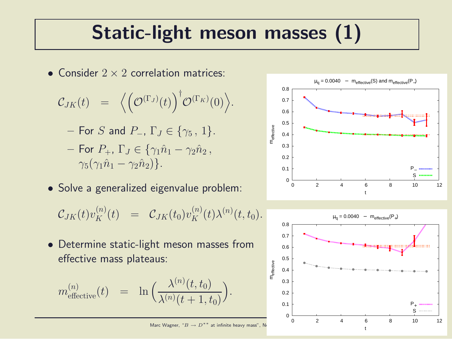# Static-light meson masses (1)

• Consider  $2 \times 2$  correlation matrices:

$$
\mathcal{C}_{JK}(t) = \langle \left(\mathcal{O}^{(\Gamma_J)}(t)\right)^{\dagger} \mathcal{O}^{(\Gamma_K)}(0)\rangle.
$$

- For S and P<sub>-</sub>, 
$$
\Gamma_J \in \{ \gamma_5, 1 \}.
$$

- For  $P_+$ ,  $\Gamma_J \in \{ \gamma_1 \hat{n}_1 \gamma_2 \hat{n}_2 \}$ ,  $\gamma_5(\gamma_1\hat{n}_1-\gamma_2\hat{n}_2)\}.$
- Solve a generalized eigenvalue problem:

$$
\mathcal{C}_{JK}(t) v_K^{(n)}(t) \;\; = \;\; \mathcal{C}_{JK}(t_0) v_K^{(n)}(t) \lambda^{(n)}(t,t_0).
$$

• Determine static-light meson masses from effective mass plateaus:

$$
m_{\text{effective}}^{(n)}(t) = \ln \Big( \frac{\lambda^{(n)}(t, t_0)}{\lambda^{(n)}(t+1, t_0)} \Big).
$$



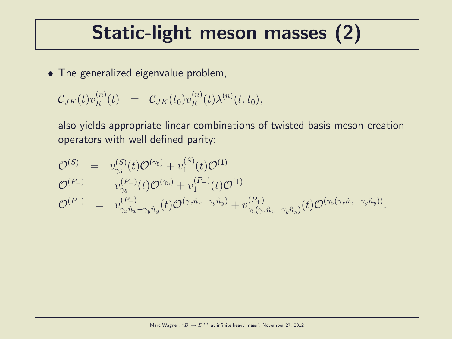## Static-light meson masses (2)

• The generalized eigenvalue problem,

$$
\mathcal{C}_{JK}(t)v_K^{(n)}(t) = \mathcal{C}_{JK}(t_0)v_K^{(n)}(t)\lambda^{(n)}(t,t_0),
$$

also yields appropriate linear combinations of twisted basis meson creation operators with well defined parity:

$$
\mathcal{O}^{(S)} = v_{\gamma_5}^{(S)}(t)\mathcal{O}^{(\gamma_5)} + v_1^{(S)}(t)\mathcal{O}^{(1)} \n\mathcal{O}^{(P_{-})} = v_{\gamma_5}^{(P_{-})}(t)\mathcal{O}^{(\gamma_5)} + v_1^{(P_{-})}(t)\mathcal{O}^{(1)} \n\mathcal{O}^{(P_{+})} = v_{\gamma_x\hat{n}_x-\gamma_y\hat{n}_y}^{(P_{+})}(t)\mathcal{O}^{(\gamma_x\hat{n}_x-\gamma_y\hat{n}_y)} + v_{\gamma_5(\gamma_x\hat{n}_x-\gamma_y\hat{n}_y)}^{(P_{+})}(t)\mathcal{O}^{(\gamma_5(\gamma_x\hat{n}_x-\gamma_y\hat{n}_y))}.
$$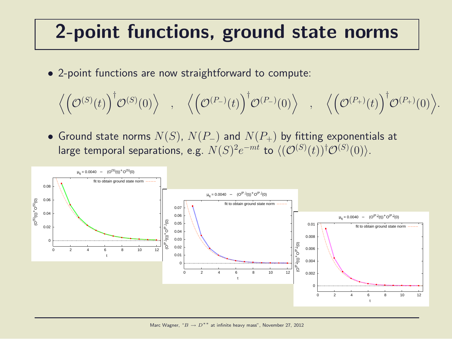## 2-point functions, ground state norms

• 2-point functions are now straightforward to compute:

$$
\Big\langle\Big(\mathcal{O}^{(S)}(t)\Big)^\dagger\mathcal{O}^{(S)}(0)\Big\rangle\quad,\quad \Big\langle\Big(\mathcal{O}^{(P_-)}(t)\Big)^\dagger\mathcal{O}^{(P_-)}(0)\Big\rangle\quad,\quad \Big\langle\Big(\mathcal{O}^{(P_+)}(t)\Big)^\dagger\mathcal{O}^{(P_+)}(0)\Big\rangle.
$$

• Ground state norms  $N(S)$ ,  $N(P_+)$  and  $N(P_+)$  by fitting exponentials at large temporal separations, e.g.  $N(S)^2e^{-mt}$  to  $\langle (\mathcal{O}^{(S)}(t))^\dagger \mathcal{O}^{(S)}(0) \rangle$ .

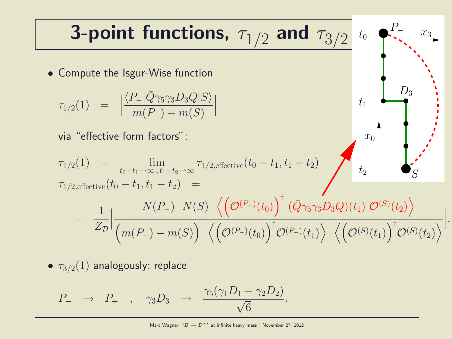**3-point functions,** 
$$
\tau_{1/2}
$$
 and  $\tau_{3/2}$  to  $\tau_{3/2}$   
\n• Compute the Isgur-Wise function  
\n
$$
\tau_{1/2}(1) = |\frac{\langle P_-|\bar{Q}\gamma_5\gamma_3D_3Q|S\rangle}{m(P_-) - m(S)}|
$$
\nvia "effective form factors":  
\n
$$
\tau_{1/2}(1) = \lim_{t_0 - t_1 \to \infty, t_1 - t_2 \to \infty} \tau_{1/2, \text{effective}}(t_0 - t_1, t_1 - t_2)
$$
\n
$$
\tau_{1/2, \text{effective}}(t_0 - t_1, t_1 - t_2) = \frac{1}{Z_{\mathcal{D}}}\Big|\frac{N(P_-) N(S) \langle (\mathcal{O}^{(P_-)}(t_0))^{\dagger} (\bar{Q}\gamma_5\gamma_3D_3Q)(t_1) \mathcal{O}^{(S)}(t_2)\rangle}{(m(P_-) - m(S)) \langle (\mathcal{O}^{(P_-)}(t_0))^{\dagger} \mathcal{O}^{(P_-)}(t_1)\rangle \langle (\mathcal{O}^{(S)}(t_1))^{\dagger} \mathcal{O}^{(S)}(t_2)\rangle}\Big|.
$$

•  $\tau_{3/2}(1)$  analogously: replace

$$
P_- \rightarrow P_+ , \quad \gamma_3 D_3 \rightarrow \frac{\gamma_5(\gamma_1 D_1 - \gamma_2 D_2)}{\sqrt{6}}.
$$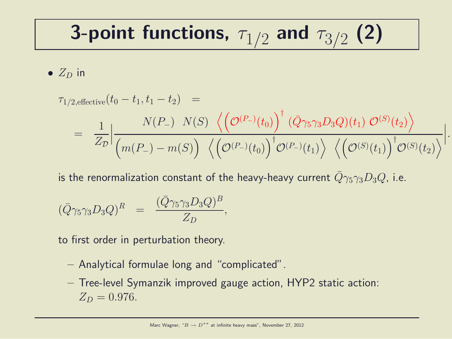# 3-point functions,  $\tau_{1/2}$  and  $\tau_{3/2}$  (2)

•  $Z_D$  in

$$
\tau_{1/2, \text{effective}}(t_0 - t_1, t_1 - t_2) =
$$
\n
$$
= \frac{1}{Z_{\mathcal{D}}} \Big| \frac{N(P_{-}) \ N(S) \ \left\langle \left(\mathcal{O}^{(P_{-})}(t_0)\right)^{\dagger} (\bar{Q} \gamma_5 \gamma_3 D_3 Q)(t_1) \ \mathcal{O}^{(S)}(t_2) \right\rangle}{\left(m(P_{-}) - m(S)\right) \ \left\langle \left(\mathcal{O}^{(P_{-})}(t_0)\right)^{\dagger} \mathcal{O}^{(P_{-})}(t_1) \right\rangle \ \left\langle \left(\mathcal{O}^{(S)}(t_1)\right)^{\dagger} \mathcal{O}^{(S)}(t_2) \right\rangle} \Big|.
$$

is the renormalization constant of the heavy-heavy current  $\bar{Q}\gamma_5\gamma_3D_3Q$ , i.e.

$$
(\bar{Q}\gamma_5\gamma_3D_3Q)^R = \frac{(\bar{Q}\gamma_5\gamma_3D_3Q)^B}{Z_D},
$$

to first order in perturbation theory.

- Analytical formulae long and "complicated".
- Tree-level Symanzik improved gauge action, HYP2 static action:  $Z_D = 0.976$ .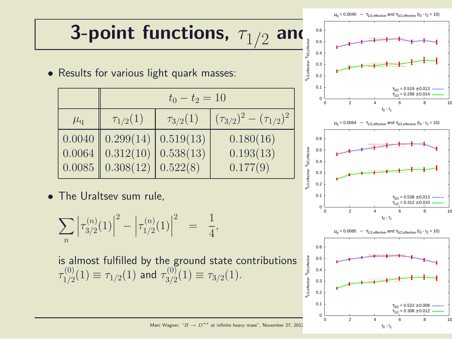# 3-point functions,  $\tau_{1/2}$ **and**  $\overline{\mathbf{a}}$

• Results for various light quark masses:

|               | $t_0 - t_2 = 10$                                  |                 |                                 |  |  |  |
|---------------|---------------------------------------------------|-----------------|---------------------------------|--|--|--|
| $\mu_{\rm q}$ | $\tau_{1/2}(1)$                                   | $\tau_{3/2}(1)$ | $(\tau_{3/2})^2-(\tau_{1/2})^2$ |  |  |  |
|               | $\mid 0.0040 \mid \mid 0.299(14) \mid$            | 0.519(13)       | 0.180(16)                       |  |  |  |
|               | $\Big  0.0064 \ \Big  0.312(10) \ \Big $          | 0.538(13)       | 0.193(13)                       |  |  |  |
|               | $\Big  0.0085 \ \Big  0.308(12) \ \Big  0.522(8)$ |                 | 0.177(9)                        |  |  |  |

• The Uraltsev sum rule,

$$
\sum_{n} \left| \tau_{3/2}^{(n)}(1) \right|^2 - \left| \tau_{1/2}^{(n)}(1) \right|^2 = \frac{1}{4},
$$

is almost fulfilled by the ground state contributions  $\tau^{(0)}_{1/2}$  $\tau^{(0)}_{1/2}(1) \equiv \tau_{1/2}(1)$  and  $\tau^{(0)}_{3/2}$  $T^{(0)}_{3/2}(1) \equiv \tau_{3/2}(1).$ 



Marc Wagner, " $B \rightarrow D^{**}$  at infinite heavy mass", November 27, 2012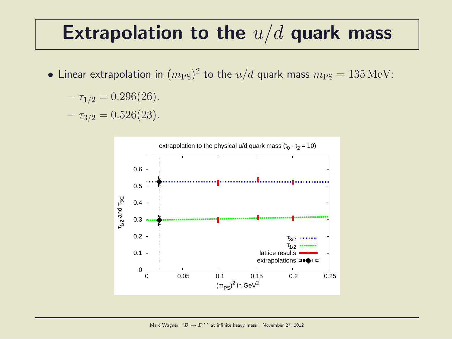#### Extrapolation to the  $u/d$  quark mass

• Linear extrapolation in  $(m_{\rm PS})^2$  to the  $u/d$  quark mass  $m_{\rm PS} = 135\,{\rm MeV}$ :

$$
- \tau_{1/2} = 0.296(26).
$$

 $- \tau_{3/2} = 0.526(23)$ .